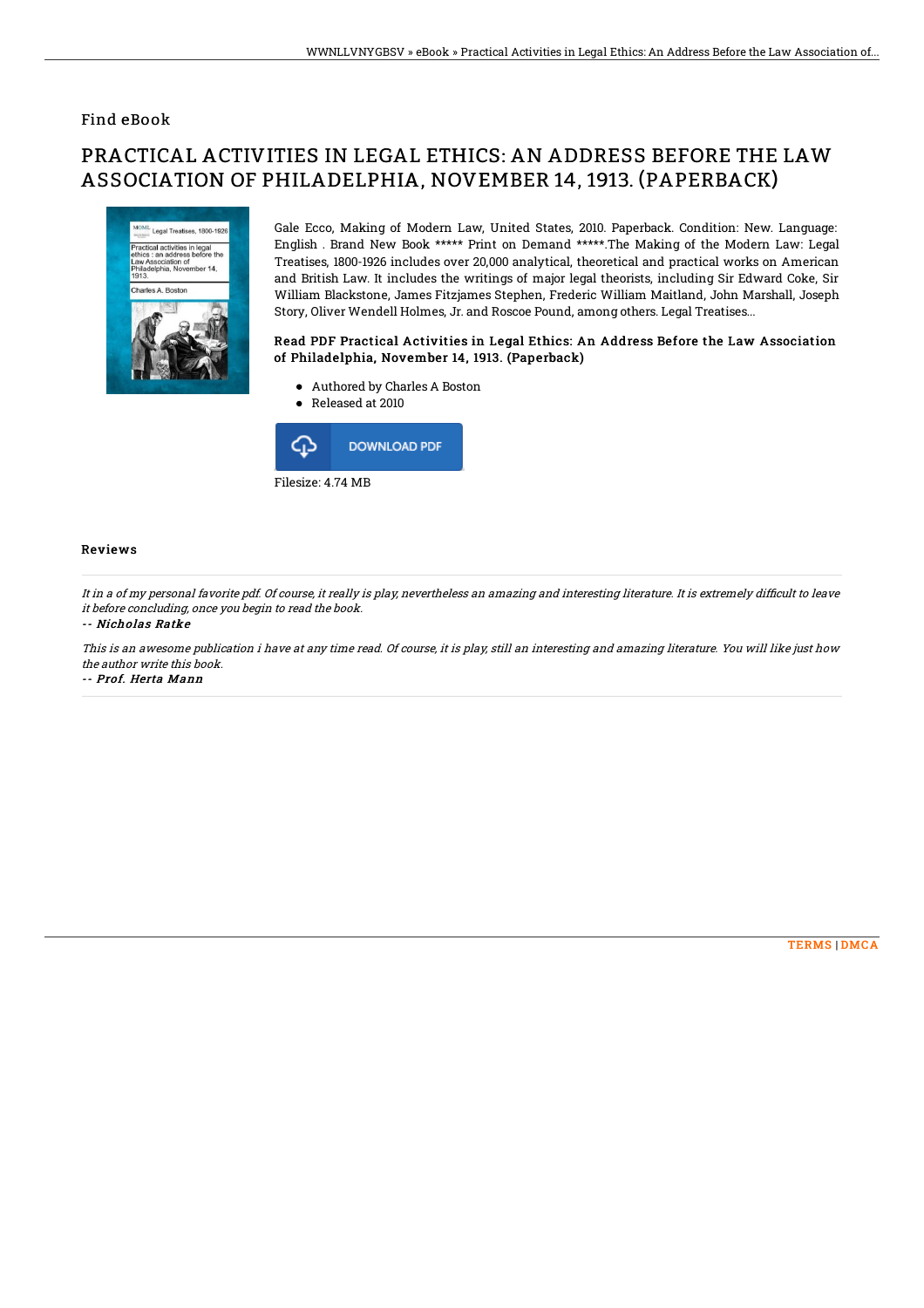### Find eBook

# PRACTICAL ACTIVITIES IN LEGAL ETHICS: AN ADDRESS BEFORE THE LAW ASSOCIATION OF PHILADELPHIA, NOVEMBER 14, 1913. (PAPERBACK)



Gale Ecco, Making of Modern Law, United States, 2010. Paperback. Condition: New. Language: English . Brand New Book \*\*\*\*\* Print on Demand \*\*\*\*\*.The Making of the Modern Law: Legal Treatises, 1800-1926 includes over 20,000 analytical, theoretical and practical works on American and British Law. It includes the writings of major legal theorists, including Sir Edward Coke, Sir William Blackstone, James Fitzjames Stephen, Frederic William Maitland, John Marshall, Joseph Story, Oliver Wendell Holmes, Jr. and Roscoe Pound, among others. Legal Treatises...

#### Read PDF Practical Activities in Legal Ethics: An Address Before the Law Association of Philadelphia, November 14, 1913. (Paperback)

- Authored by Charles A Boston
- Released at 2010



#### Reviews

It in <sup>a</sup> of my personal favorite pdf. Of course, it really is play, nevertheless an amazing and interesting literature. It is extremely difBcult to leave it before concluding, once you begin to read the book.

#### -- Nicholas Ratke

This is an awesome publication i have at any time read. Of course, it is play, still an interesting and amazing literature. You will like just how the author write this book. -- Prof. Herta Mann